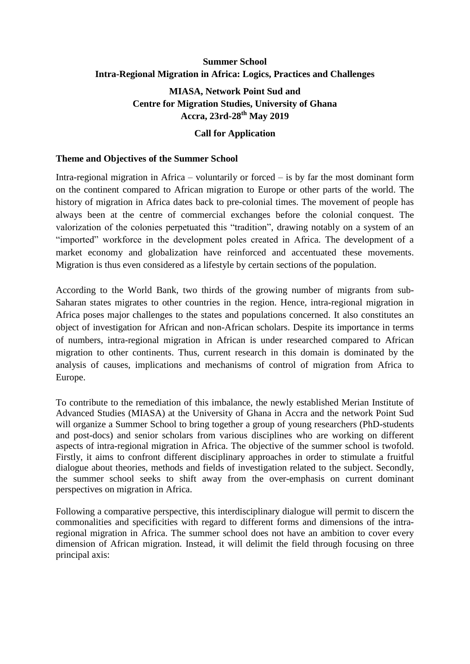# **Summer School Intra-Regional Migration in Africa: Logics, Practices and Challenges**

## **MIASA, Network Point Sud and Centre for Migration Studies, University of Ghana Accra, 23rd-28 th May 2019**

#### **Call for Application**

#### **Theme and Objectives of the Summer School**

Intra-regional migration in Africa – voluntarily or forced – is by far the most dominant form on the continent compared to African migration to Europe or other parts of the world. The history of migration in Africa dates back to pre-colonial times. The movement of people has always been at the centre of commercial exchanges before the colonial conquest. The valorization of the colonies perpetuated this "tradition", drawing notably on a system of an "imported" workforce in the development poles created in Africa. The development of a market economy and globalization have reinforced and accentuated these movements. Migration is thus even considered as a lifestyle by certain sections of the population.

According to the World Bank, two thirds of the growing number of migrants from sub-Saharan states migrates to other countries in the region. Hence, intra-regional migration in Africa poses major challenges to the states and populations concerned. It also constitutes an object of investigation for African and non-African scholars. Despite its importance in terms of numbers, intra-regional migration in African is under researched compared to African migration to other continents. Thus, current research in this domain is dominated by the analysis of causes, implications and mechanisms of control of migration from Africa to Europe.

To contribute to the remediation of this imbalance, the newly established Merian Institute of Advanced Studies (MIASA) at the University of Ghana in Accra and the network Point Sud will organize a Summer School to bring together a group of young researchers (PhD-students and post-docs) and senior scholars from various disciplines who are working on different aspects of intra-regional migration in Africa. The objective of the summer school is twofold. Firstly, it aims to confront different disciplinary approaches in order to stimulate a fruitful dialogue about theories, methods and fields of investigation related to the subject. Secondly, the summer school seeks to shift away from the over-emphasis on current dominant perspectives on migration in Africa.

Following a comparative perspective, this interdisciplinary dialogue will permit to discern the commonalities and specificities with regard to different forms and dimensions of the intraregional migration in Africa. The summer school does not have an ambition to cover every dimension of African migration. Instead, it will delimit the field through focusing on three principal axis: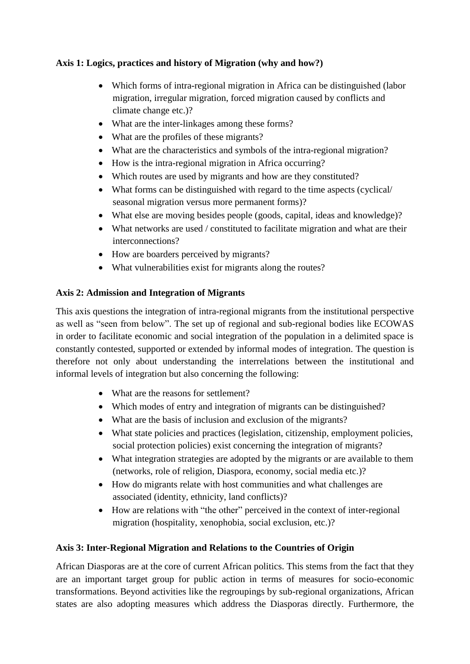## **Axis 1: Logics, practices and history of Migration (why and how?)**

- Which forms of intra-regional migration in Africa can be distinguished (labor migration, irregular migration, forced migration caused by conflicts and climate change etc.)?
- What are the inter-linkages among these forms?
- What are the profiles of these migrants?
- What are the characteristics and symbols of the intra-regional migration?
- How is the intra-regional migration in Africa occurring?
- Which routes are used by migrants and how are they constituted?
- What forms can be distinguished with regard to the time aspects (cyclical/ seasonal migration versus more permanent forms)?
- What else are moving besides people (goods, capital, ideas and knowledge)?
- What networks are used / constituted to facilitate migration and what are their interconnections?
- How are boarders perceived by migrants?
- What vulnerabilities exist for migrants along the routes?

#### **Axis 2: Admission and Integration of Migrants**

This axis questions the integration of intra-regional migrants from the institutional perspective as well as "seen from below". The set up of regional and sub-regional bodies like ECOWAS in order to facilitate economic and social integration of the population in a delimited space is constantly contested, supported or extended by informal modes of integration. The question is therefore not only about understanding the interrelations between the institutional and informal levels of integration but also concerning the following:

- What are the reasons for settlement?
- Which modes of entry and integration of migrants can be distinguished?
- What are the basis of inclusion and exclusion of the migrants?
- What state policies and practices (legislation, citizenship, employment policies, social protection policies) exist concerning the integration of migrants?
- What integration strategies are adopted by the migrants or are available to them (networks, role of religion, Diaspora, economy, social media etc.)?
- How do migrants relate with host communities and what challenges are associated (identity, ethnicity, land conflicts)?
- How are relations with "the other" perceived in the context of inter-regional migration (hospitality, xenophobia, social exclusion, etc.)?

#### **Axis 3: Inter-Regional Migration and Relations to the Countries of Origin**

African Diasporas are at the core of current African politics. This stems from the fact that they are an important target group for public action in terms of measures for socio-economic transformations. Beyond activities like the regroupings by sub-regional organizations, African states are also adopting measures which address the Diasporas directly. Furthermore, the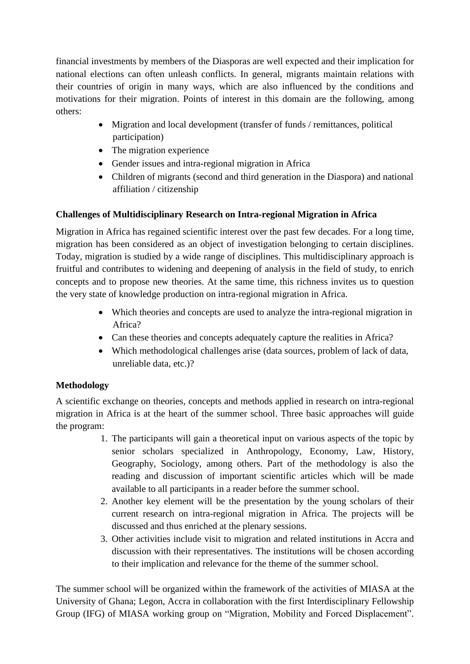financial investments by members of the Diasporas are well expected and their implication for national elections can often unleash conflicts. In general, migrants maintain relations with their countries of origin in many ways, which are also influenced by the conditions and motivations for their migration. Points of interest in this domain are the following, among others:

- Migration and local development (transfer of funds / remittances, political participation)
- The migration experience
- Gender issues and intra-regional migration in Africa
- Children of migrants (second and third generation in the Diaspora) and national affiliation / citizenship

## **Challenges of Multidisciplinary Research on Intra-regional Migration in Africa**

Migration in Africa has regained scientific interest over the past few decades. For a long time, migration has been considered as an object of investigation belonging to certain disciplines. Today, migration is studied by a wide range of disciplines. This multidisciplinary approach is fruitful and contributes to widening and deepening of analysis in the field of study, to enrich concepts and to propose new theories. At the same time, this richness invites us to question the very state of knowledge production on intra-regional migration in Africa.

- Which theories and concepts are used to analyze the intra-regional migration in Africa?
- Can these theories and concepts adequately capture the realities in Africa?
- Which methodological challenges arise (data sources, problem of lack of data, unreliable data, etc.)?

#### **Methodology**

A scientific exchange on theories, concepts and methods applied in research on intra-regional migration in Africa is at the heart of the summer school. Three basic approaches will guide the program:

- 1. The participants will gain a theoretical input on various aspects of the topic by senior scholars specialized in Anthropology, Economy, Law, History, Geography, Sociology, among others. Part of the methodology is also the reading and discussion of important scientific articles which will be made available to all participants in a reader before the summer school.
- 2. Another key element will be the presentation by the young scholars of their current research on intra-regional migration in Africa. The projects will be discussed and thus enriched at the plenary sessions.
- 3. Other activities include visit to migration and related institutions in Accra and discussion with their representatives. The institutions will be chosen according to their implication and relevance for the theme of the summer school.

The summer school will be organized within the framework of the activities of MIASA at the University of Ghana; Legon, Accra in collaboration with the first Interdisciplinary Fellowship Group (IFG) of MIASA working group on "Migration, Mobility and Forced Displacement".